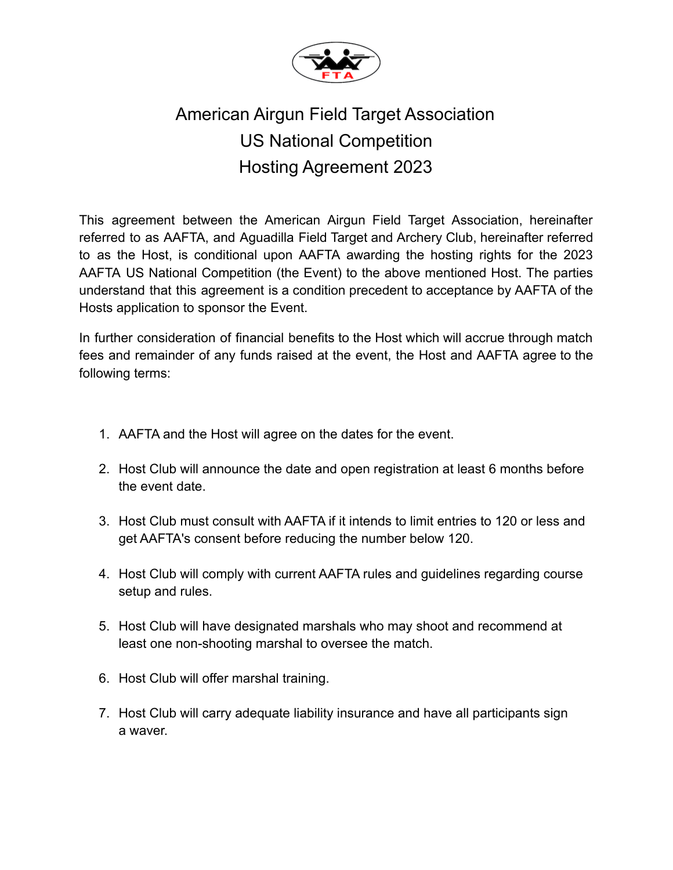

## American Airgun Field Target Association US National Competition Hosting Agreement 2023

This agreement between the American Airgun Field Target Association, hereinafter referred to as AAFTA, and Aguadilla Field Target and Archery Club, hereinafter referred to as the Host, is conditional upon AAFTA awarding the hosting rights for the 2023 AAFTA US National Competition (the Event) to the above mentioned Host. The parties understand that this agreement is a condition precedent to acceptance by AAFTA of the Hosts application to sponsor the Event.

In further consideration of financial benefits to the Host which will accrue through match fees and remainder of any funds raised at the event, the Host and AAFTA agree to the following terms:

- 1. AAFTA and the Host will agree on the dates for the event.
- 2. Host Club will announce the date and open registration at least 6 months before the event date.
- 3. Host Club must consult with AAFTA if it intends to limit entries to 120 or less and get AAFTA's consent before reducing the number below 120.
- 4. Host Club will comply with current AAFTA rules and guidelines regarding course setup and rules.
- 5. Host Club will have designated marshals who may shoot and recommend at least one non-shooting marshal to oversee the match.
- 6. Host Club will offer marshal training.
- 7. Host Club will carry adequate liability insurance and have all participants sign a waver.